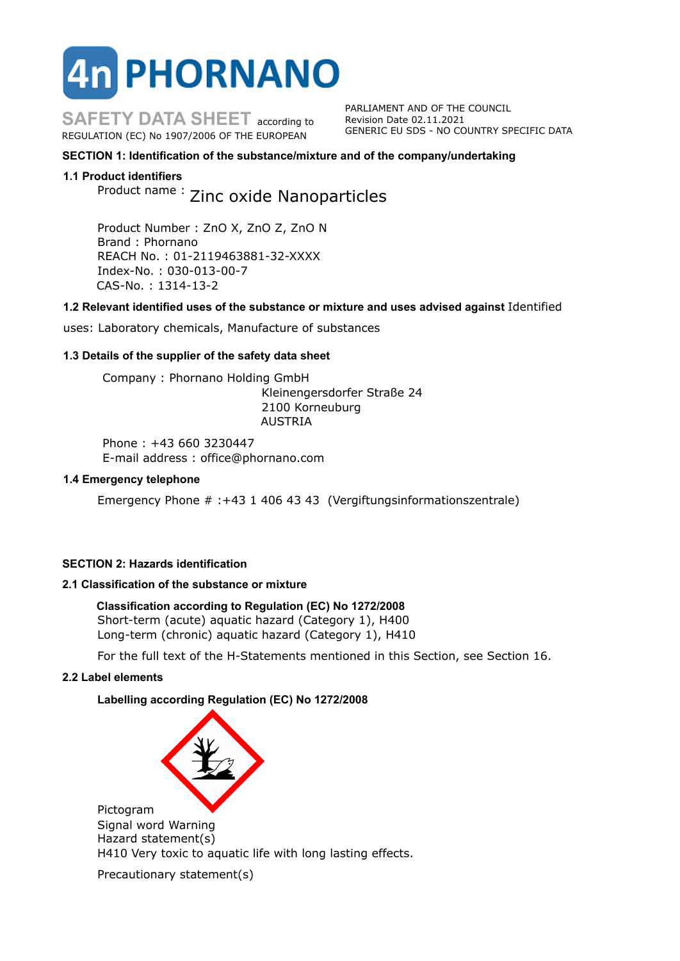# **TPHORNANO**

**SAFETY DATA SHEET** according to REGULATION (EC) No 1907/2006 OF THE EUROPEAN

PARLIAMENT AND OF THE COUNCIL Revision Date 02.11.2021 GENERIC EU SDS - NO COUNTRY SPECIFIC DATA

# **SECTION 1: Identification of the substance/mixture and of the company/undertaking**

# **1.1 Product identifiers**

Product name : Zinc oxide Nanoparticles

Product Number : ZnO X, ZnO Z, ZnO N Brand : Phornano REACH No. : 01-2119463881-32-XXXX Index-No. : 030-013-00-7 CAS-No. : 1314-13-2

# **1.2 Relevant identified uses of the substance or mixture and uses advised against** Identified

uses: Laboratory chemicals, Manufacture of substances

# **1.3 Details of the supplier of the safety data sheet**

Company : Phornano Holding GmbH Kleinengersdorfer Straße 24 2100 Korneuburg AUSTRIA

Phone : +43 660 3230447 E-mail address : office@phornano.com

## **1.4 Emergency telephone**

Emergency Phone # :+43 1 406 43 43 (Vergiftungsinformationszentrale)

# **SECTION 2: Hazards identification**

# **2.1 Classification of the substance or mixture**

# **Classification according to Regulation (EC) No 1272/2008**

Short-term (acute) aquatic hazard (Category 1), H400 Long-term (chronic) aquatic hazard (Category 1), H410

For the full text of the H-Statements mentioned in this Section, see Section 16.

#### **2.2 Label elements**

**Labelling according Regulation (EC) No 1272/2008**



Pictogram Signal word Warning Hazard statement(s) H410 Very toxic to aquatic life with long lasting effects.

Precautionary statement(s)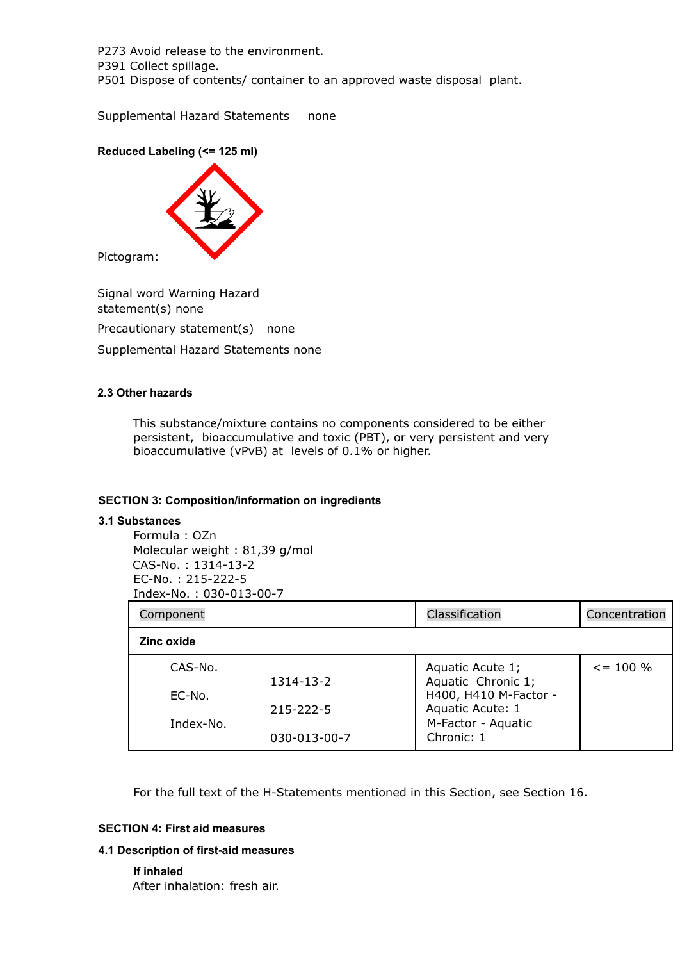P273 Avoid release to the environment. P391 Collect spillage. P501 Dispose of contents/ container to an approved waste disposal plant.

Supplemental Hazard Statements none

# **Reduced Labeling (<= 125 ml)**



Pictogram:

Signal word Warning Hazard statement(s) none Precautionary statement(s) none

Supplemental Hazard Statements none

# **2.3 Other hazards**

This substance/mixture contains no components considered to be either persistent, bioaccumulative and toxic (PBT), or very persistent and very bioaccumulative (vPvB) at levels of 0.1% or higher.

# **SECTION 3: Composition/information on ingredients**

#### **3.1 Substances**

Formula : OZn Molecular weight : 81,39 g/mol CAS-No. : 1314-13-2 EC-No. : 215-222-5 Index-No. : 030-013-00-7

| Component         |                                 | Classification                                                                                                          | Concentration  |
|-------------------|---------------------------------|-------------------------------------------------------------------------------------------------------------------------|----------------|
| Zinc oxide        |                                 |                                                                                                                         |                |
| CAS-No.<br>EC-No. | 1314-13-2                       | Aquatic Acute 1;<br>Aquatic Chronic 1;<br>H400, H410 M-Factor -<br>Aquatic Acute: 1<br>M-Factor - Aquatic<br>Chronic: 1 | $\leq$ = 100 % |
| Index-No.         | $215 - 222 - 5$<br>030-013-00-7 |                                                                                                                         |                |

For the full text of the H-Statements mentioned in this Section, see Section 16.

# **SECTION 4: First aid measures**

#### **4.1 Description of first-aid measures**

**If inhaled** After inhalation: fresh air.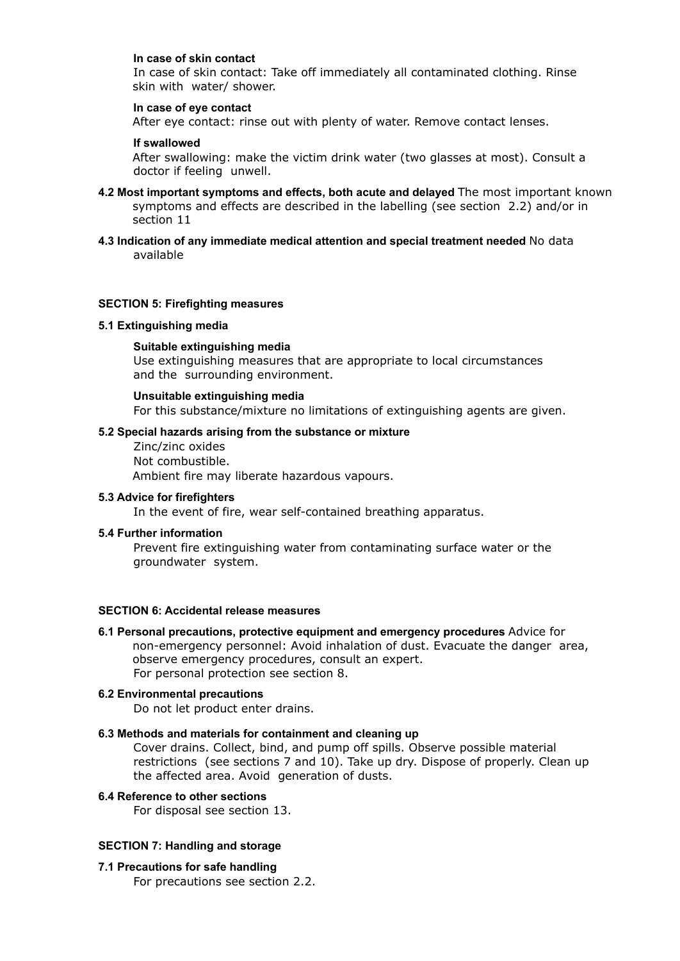## **In case of skin contact**

In case of skin contact: Take off immediately all contaminated clothing. Rinse skin with water/ shower.

## **In case of eye contact**

After eye contact: rinse out with plenty of water. Remove contact lenses.

## **If swallowed**

After swallowing: make the victim drink water (two glasses at most). Consult a doctor if feeling unwell.

- **4.2 Most important symptoms and effects, both acute and delayed** The most important known symptoms and effects are described in the labelling (see section 2.2) and/or in section 11
- **4.3 Indication of any immediate medical attention and special treatment needed** No data available

## **SECTION 5: Firefighting measures**

# **5.1 Extinguishing media**

## **Suitable extinguishing media**

Use extinguishing measures that are appropriate to local circumstances and the surrounding environment.

#### **Unsuitable extinguishing media**

For this substance/mixture no limitations of extinguishing agents are given.

## **5.2 Special hazards arising from the substance or mixture**

Zinc/zinc oxides Not combustible. Ambient fire may liberate hazardous vapours.

# **5.3 Advice for firefighters**

In the event of fire, wear self-contained breathing apparatus.

#### **5.4 Further information**

Prevent fire extinguishing water from contaminating surface water or the groundwater system.

## **SECTION 6: Accidental release measures**

**6.1 Personal precautions, protective equipment and emergency procedures** Advice for non-emergency personnel: Avoid inhalation of dust. Evacuate the danger area, observe emergency procedures, consult an expert. For personal protection see section 8.

# **6.2 Environmental precautions**

Do not let product enter drains.

## **6.3 Methods and materials for containment and cleaning up**

Cover drains. Collect, bind, and pump off spills. Observe possible material restrictions (see sections 7 and 10). Take up dry. Dispose of properly. Clean up the affected area. Avoid generation of dusts.

## **6.4 Reference to other sections**

For disposal see section 13.

# **SECTION 7: Handling and storage**

#### **7.1 Precautions for safe handling**

For precautions see section 2.2.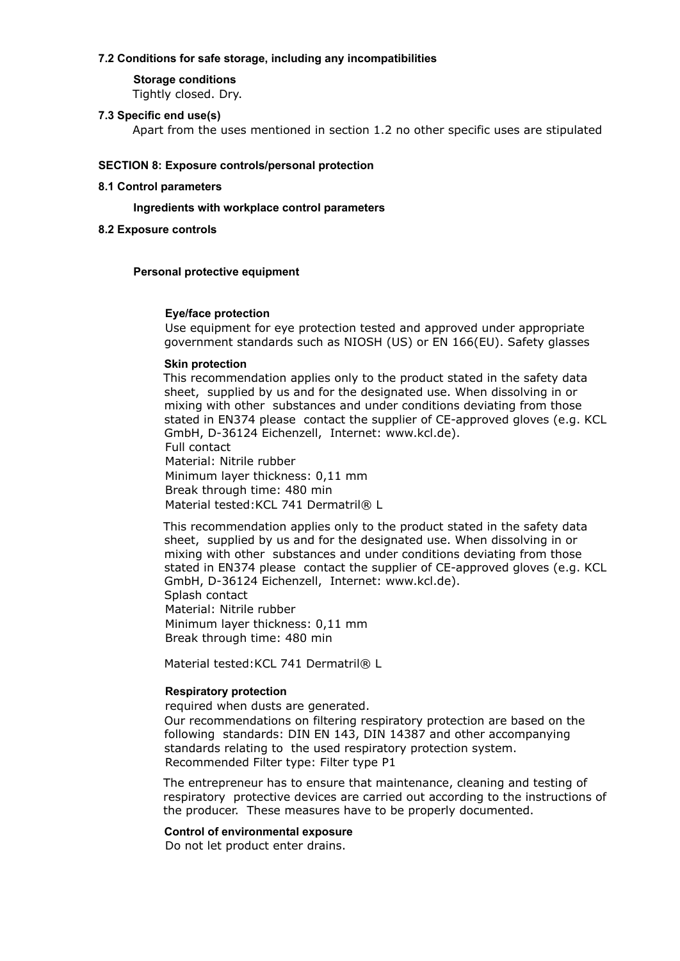## **7.2 Conditions for safe storage, including any incompatibilities**

# **Storage conditions**

Tightly closed. Dry.

# **7.3 Specific end use(s)**

Apart from the uses mentioned in section 1.2 no other specific uses are stipulated

# **SECTION 8: Exposure controls/personal protection**

# **8.1 Control parameters**

# **Ingredients with workplace control parameters**

# **8.2 Exposure controls**

# **Personal protective equipment**

# **Eye/face protection**

Use equipment for eye protection tested and approved under appropriate government standards such as NIOSH (US) or EN 166(EU). Safety glasses

# **Skin protection**

This recommendation applies only to the product stated in the safety data sheet, supplied by us and for the designated use. When dissolving in or mixing with other substances and under conditions deviating from those stated in EN374 please contact the supplier of CE-approved gloves (e.g. KCL GmbH, D-36124 Eichenzell, Internet: www.kcl.de). Full contact

Material: Nitrile rubber Minimum layer thickness: 0,11 mm Break through time: 480 min Material tested: KCL 741 Dermatril® L

This recommendation applies only to the product stated in the safety data sheet, supplied by us and for the designated use. When dissolving in or mixing with other substances and under conditions deviating from those stated in EN374 please contact the supplier of CE-approved gloves (e.g. KCL GmbH, D-36124 Eichenzell, Internet: www.kcl.de). Splash contact Material: Nitrile rubber

Minimum layer thickness: 0,11 mm Break through time: 480 min

Material tested: KCL 741 Dermatril® L

# **Respiratory protection**

required when dusts are generated.

Our recommendations on filtering respiratory protection are based on the following standards: DIN EN 143, DIN 14387 and other accompanying standards relating to the used respiratory protection system. Recommended Filter type: Filter type P1

The entrepreneur has to ensure that maintenance, cleaning and testing of respiratory protective devices are carried out according to the instructions of the producer. These measures have to be properly documented.

# **Control of environmental exposure**

Do not let product enter drains.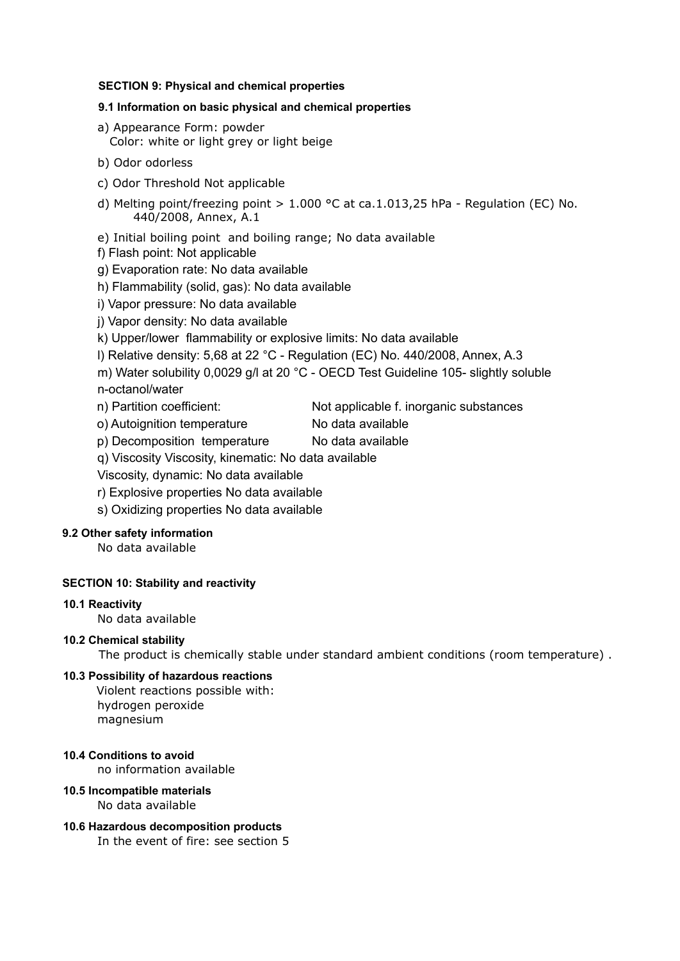# **SECTION 9: Physical and chemical properties**

# **9.1 Information on basic physical and chemical properties**

- a) Appearance Form: powder Color: white or light grey or light beige
- b) Odor odorless
- c) Odor Threshold Not applicable
- d) Melting point/freezing point  $> 1.000$  °C at ca.1.013,25 hPa Regulation (EC) No. 440/2008, Annex, A.1
- e) Initial boiling point and boiling range; No data available
- f) Flash point: Not applicable
- g) Evaporation rate: No data available
- h) Flammability (solid, gas): No data available
- i) Vapor pressure: No data available
- j) Vapor density: No data available
- k) Upper/lower flammability or explosive limits: No data available
- l) Relative density: 5,68 at 22 °C Regulation (EC) No. 440/2008, Annex, A.3
- m) Water solubility 0,0029 g/l at 20 °C OECD Test Guideline 105- slightly soluble n-octanol/water
- n) Partition coefficient: Not applicable f. inorganic substances
- o) Autoignition temperature No data available
- p) Decomposition temperature No data available
- q) Viscosity Viscosity, kinematic: No data available
- Viscosity, dynamic: No data available
- r) Explosive properties No data available
- s) Oxidizing properties No data available

# **9.2 Other safety information**

No data available

# **SECTION 10: Stability and reactivity**

# **10.1 Reactivity**

No data available

# **10.2 Chemical stability**

The product is chemically stable under standard ambient conditions (room temperature) .

# **10.3 Possibility of hazardous reactions**

Violent reactions possible with: hydrogen peroxide magnesium

# **10.4 Conditions to avoid**

no information available

# **10.5 Incompatible materials**

No data available

# **10.6 Hazardous decomposition products**

In the event of fire: see section 5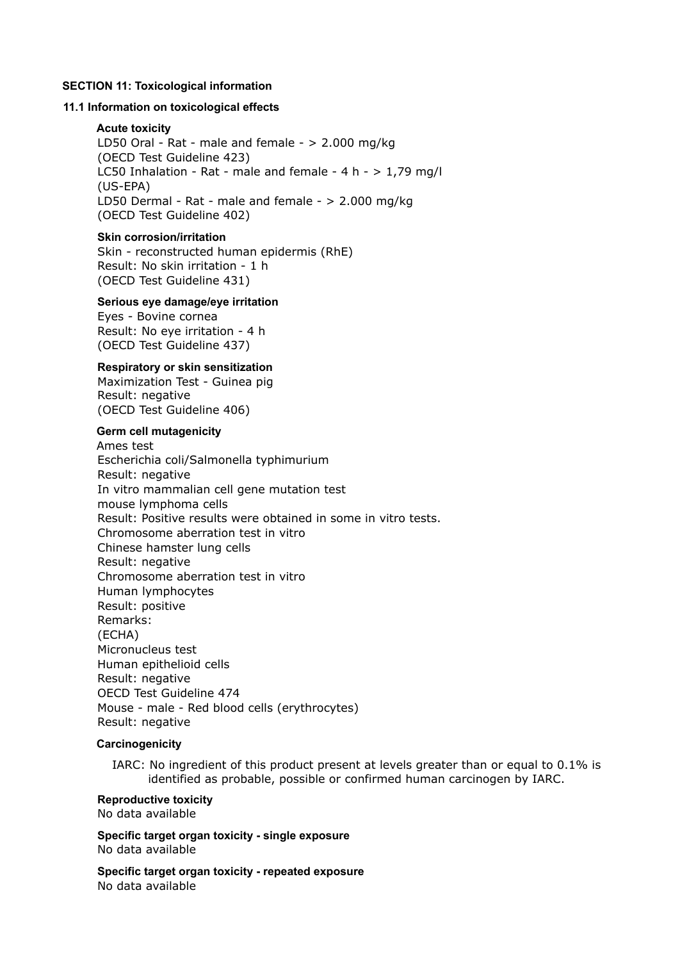## **SECTION 11: Toxicological information**

## **11.1 Information on toxicological effects**

## **Acute toxicity**

LD50 Oral - Rat - male and female - > 2.000 mg/kg (OECD Test Guideline 423) LC50 Inhalation - Rat - male and female - 4 h -  $> 1.79$  mg/l (US-EPA) LD50 Dermal - Rat - male and female - > 2.000 mg/kg (OECD Test Guideline 402)

## **Skin corrosion/irritation**

Skin - reconstructed human epidermis (RhE) Result: No skin irritation - 1 h (OECD Test Guideline 431)

# **Serious eye damage/eye irritation**

Eyes - Bovine cornea Result: No eye irritation - 4 h (OECD Test Guideline 437)

## **Respiratory or skin sensitization**

Maximization Test - Guinea pig Result: negative (OECD Test Guideline 406)

## **Germ cell mutagenicity**

Ames test Escherichia coli/Salmonella typhimurium Result: negative In vitro mammalian cell gene mutation test mouse lymphoma cells Result: Positive results were obtained in some in vitro tests. Chromosome aberration test in vitro Chinese hamster lung cells Result: negative Chromosome aberration test in vitro Human lymphocytes Result: positive Remarks: (ECHA) Micronucleus test Human epithelioid cells Result: negative OECD Test Guideline 474 Mouse - male - Red blood cells (erythrocytes) Result: negative

## **Carcinogenicity**

IARC: No ingredient of this product present at levels greater than or equal to 0.1% is identified as probable, possible or confirmed human carcinogen by IARC.

#### **Reproductive toxicity** No data available

**Specific target organ toxicity - single exposure** No data available

**Specific target organ toxicity - repeated exposure** No data available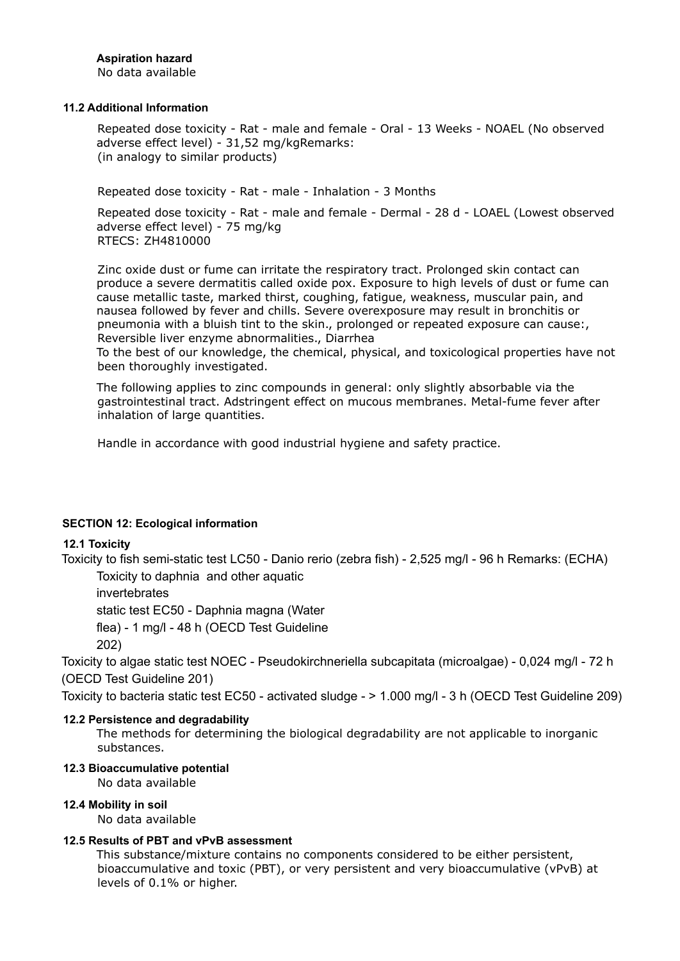# **Aspiration hazard**

No data available

## **11.2 Additional Information**

Repeated dose toxicity - Rat - male and female - Oral - 13 Weeks - NOAEL (No observed adverse effect level) - 31,52 mg/kgRemarks: (in analogy to similar products)

Repeated dose toxicity - Rat - male - Inhalation - 3 Months

Repeated dose toxicity - Rat - male and female - Dermal - 28 d - LOAEL (Lowest observed adverse effect level) - 75 mg/kg RTECS: ZH4810000

Zinc oxide dust or fume can irritate the respiratory tract. Prolonged skin contact can produce a severe dermatitis called oxide pox. Exposure to high levels of dust or fume can cause metallic taste, marked thirst, coughing, fatigue, weakness, muscular pain, and nausea followed by fever and chills. Severe overexposure may result in bronchitis or pneumonia with a bluish tint to the skin., prolonged or repeated exposure can cause:, Reversible liver enzyme abnormalities., Diarrhea

To the best of our knowledge, the chemical, physical, and toxicological properties have not been thoroughly investigated.

The following applies to zinc compounds in general: only slightly absorbable via the gastrointestinal tract. Adstringent effect on mucous membranes. Metal-fume fever after inhalation of large quantities.

Handle in accordance with good industrial hygiene and safety practice.

# **SECTION 12: Ecological information**

# **12.1 Toxicity**

Toxicity to fish semi-static test LC50 - Danio rerio (zebra fish) - 2,525 mg/l - 96 h Remarks: (ECHA) Toxicity to daphnia and other aquatic

invertebrates

static test EC50 - Daphnia magna (Water

flea) - 1 mg/l - 48 h (OECD Test Guideline

202)

Toxicity to algae static test NOEC - Pseudokirchneriella subcapitata (microalgae) - 0,024 mg/l - 72 h (OECD Test Guideline 201)

Toxicity to bacteria static test EC50 - activated sludge - > 1.000 mg/l - 3 h (OECD Test Guideline 209)

# **12.2 Persistence and degradability**

The methods for determining the biological degradability are not applicable to inorganic substances.

# **12.3 Bioaccumulative potential**

No data available

# **12.4 Mobility in soil**

No data available

# **12.5 Results of PBT and vPvB assessment**

This substance/mixture contains no components considered to be either persistent, bioaccumulative and toxic (PBT), or very persistent and very bioaccumulative (vPvB) at levels of 0.1% or higher.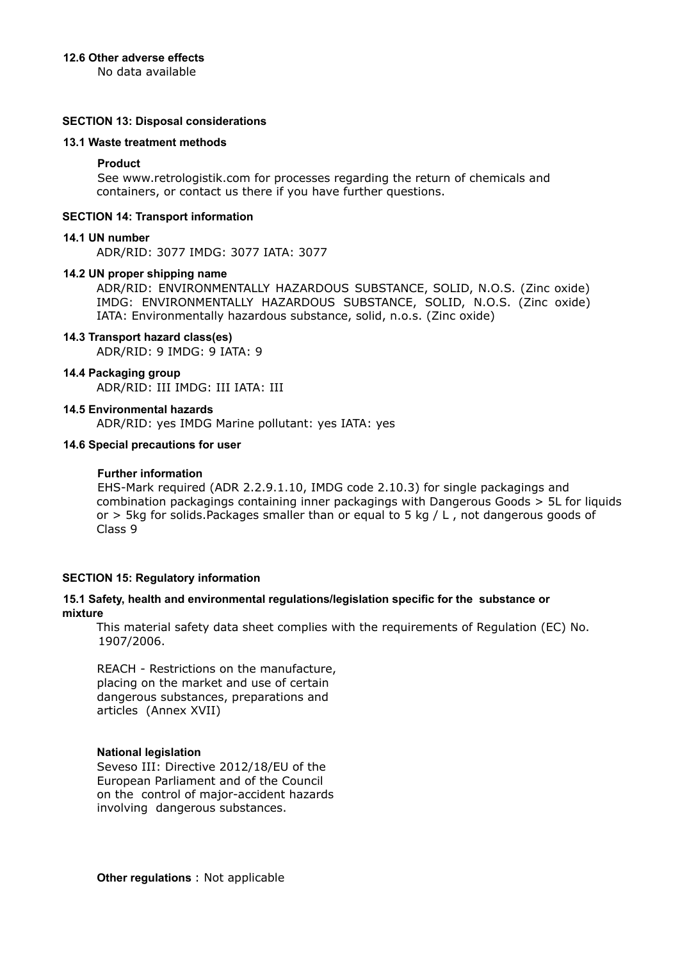## **12.6 Other adverse effects**

No data available

## **SECTION 13: Disposal considerations**

## **13.1 Waste treatment methods**

## **Product**

See www.retrologistik.com for processes regarding the return of chemicals and containers, or contact us there if you have further questions.

## **SECTION 14: Transport information**

## **14.1 UN number**

ADR/RID: 3077 IMDG: 3077 IATA: 3077

#### **14.2 UN proper shipping name**

ADR/RID: ENVIRONMENTALLY HAZARDOUS SUBSTANCE, SOLID, N.O.S. (Zinc oxide) IMDG: ENVIRONMENTALLY HAZARDOUS SUBSTANCE, SOLID, N.O.S. (Zinc oxide) IATA: Environmentally hazardous substance, solid, n.o.s. (Zinc oxide)

## **14.3 Transport hazard class(es)**

ADR/RID: 9 IMDG: 9 IATA: 9

## **14.4 Packaging group**

ADR/RID: III IMDG: III IATA: III

## **14.5 Environmental hazards**

ADR/RID: yes IMDG Marine pollutant: yes IATA: yes

## **14.6 Special precautions for user**

## **Further information**

EHS-Mark required (ADR 2.2.9.1.10, IMDG code 2.10.3) for single packagings and combination packagings containing inner packagings with Dangerous Goods > 5L for liquids or  $>$  5kg for solids. Packages smaller than or equal to 5 kg / L, not dangerous goods of Class 9

#### **SECTION 15: Regulatory information**

## **15.1 Safety, health and environmental regulations/legislation specific for the substance or mixture**

This material safety data sheet complies with the requirements of Regulation (EC) No. 1907/2006.

REACH - Restrictions on the manufacture, placing on the market and use of certain dangerous substances, preparations and articles (Annex XVII)

#### **National legislation**

Seveso III: Directive 2012/18/EU of the European Parliament and of the Council on the control of major-accident hazards involving dangerous substances.

**Other regulations** : Not applicable